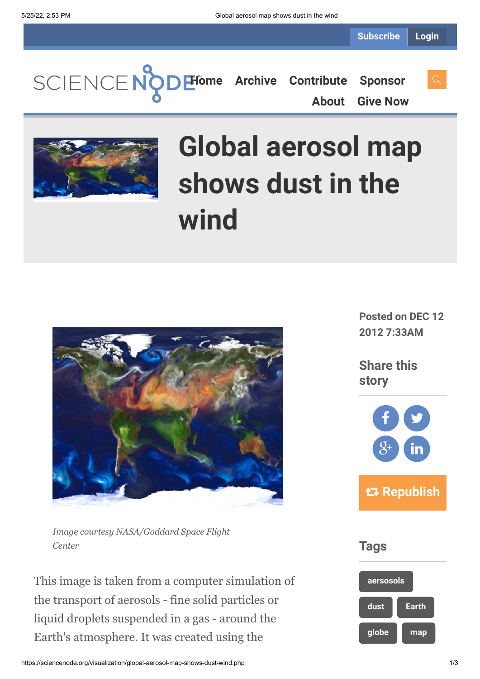**[Home](https://sciencenode.org/) [Archive](https://sciencenode.org/archive/index.php) [Contribute](https://sciencenode.org/contribute/index.php) [Sponsor](https://sciencenode.org/sponsor/index.php) [About](https://sciencenode.org/about/index.php) [Give Now](https://sciencenode.org/donate/index.php)**



# **Global aerosol map shows dust in the wind**



*Image courtesy NASA/Goddard Space Flight Center*

This image is taken from a computer simulation of the transport of aerosols - fine solid particles or liquid droplets suspended in a gas - around the Earth's atmosphere. It was created using the

**Posted on DEC 12 2012 7:33AM**

**Share this story**



**Tags**

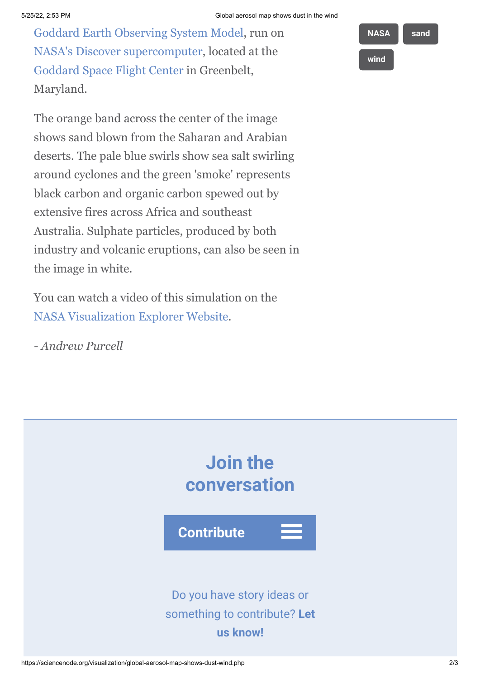[Goddard Earth Observing System Model](http://gmao.gsfc.nasa.gov/systems/geos5/), run on [NASA's Discover supercomputer](http://www.hec.nasa.gov/news/gallery_images/discover.html), located at the [Goddard Space Flight Center](http://www.nasa.gov/centers/goddard/home/index.html) in Greenbelt, Maryland.

The orange band across the center of the image shows sand blown from the Saharan and Arabian deserts. The pale blue swirls show sea salt swirling around cyclones and the green 'smoke' represents black carbon and organic carbon spewed out by extensive fires across Africa and southeast Australia. Sulphate particles, produced by both industry and volcanic eruptions, can also be seen in the image in white.

You can watch a video of this simulation on the [NASA Visualization Explorer Website](http://svs.gsfc.nasa.gov/vis/a010000/a010900/a010977/aerosols-540-MASTER_high.mp4).

*- Andrew Purcell*